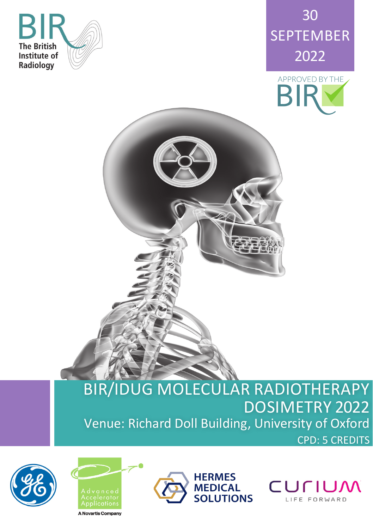





## BIR/IDUG MOLECULAR RADIOTHERAPY DOSIMETRY 2022 Venue: Richard Doll Building, University of Oxford CPD: 5 CREDITS

D.









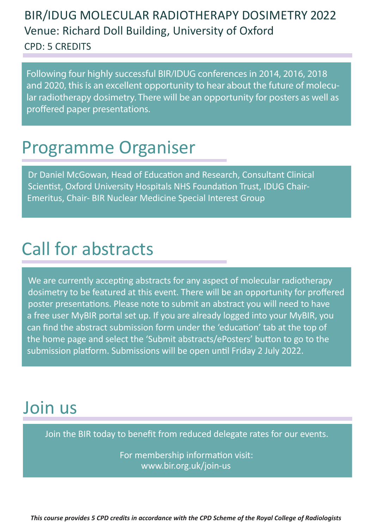### BIR/IDUG MOLECULAR RADIOTHERAPY DOSIMETRY 2022 Venue: Richard Doll Building, University of Oxford CPD: 5 CREDITS

Following four highly successful BIR/IDUG conferences in 2014, 2016, 2018 and 2020, this is an excellent opportunity to hear about the future of molecular radiotherapy dosimetry. There will be an opportunity for posters as well as proffered paper presentations.

## Programme Organiser

Dr Daniel McGowan, Head of Education and Research, Consultant Clinical Scientist, Oxford University Hospitals NHS Foundation Trust, IDUG Chair-Emeritus, Chair- BIR Nuclear Medicine Special Interest Group

# Call for abstracts

We are currently accepting abstracts for any aspect of molecular radiotherapy dosimetry to be featured at this event. There will be an opportunity for proffered poster presentations. Please note to submit an abstract you will need to have a free user MyBIR portal set up. If you are already logged into your MyBIR, you can find the abstract submission form under the 'education' tab at the top of the home page and select the 'Submit abstracts/ePosters' button to go to the submission platform. Submissions will be open until Friday 2 July 2022.

## Join us

Join the BIR today to benefit from reduced delegate rates for our events.

For membership information visit: www.bir.org.uk/join-us

*This course provides 5 CPD credits in accordance with the CPD Scheme of the Royal College of Radiologists*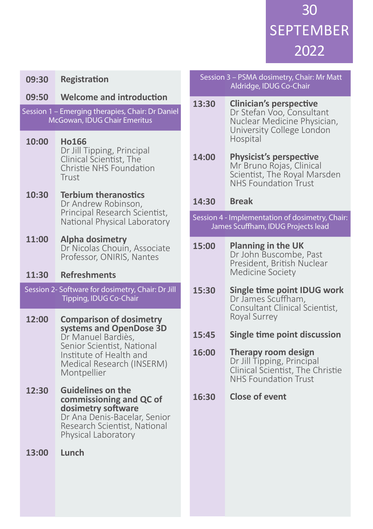30 SEPTEMBER 2022

| 09:30 | <b>Registration</b>                                                                                       | Session 3 - PSMA c<br>Aldridge,        |                                                           |
|-------|-----------------------------------------------------------------------------------------------------------|----------------------------------------|-----------------------------------------------------------|
| 09:50 | <b>Welcome and introduction</b>                                                                           | 13:30                                  | <b>Cliniciar</b>                                          |
|       | Session 1 - Emerging therapies, Chair: Dr Daniel<br>McGowan, IDUG Chair Emeritus                          |                                        | Dr Stefa<br><b>Nuclear</b><br>Universi<br>Hospital        |
| 10:00 | <b>Ho166</b><br>Dr Jill Tipping, Principal<br>Clinical Scientist, The<br>Christie NHS Foundation<br>Trust | 14:00                                  | <b>Physicis</b><br>Mr Brun<br>Scientist<br><b>NHS Fou</b> |
| 10:30 | <b>Terbium theranostics</b><br>Dr Andrew Robinson,                                                        | 14:30                                  | <b>Break</b>                                              |
|       | Principal Research Scientist,<br>National Physical Laboratory                                             | Session 4 - Implemer<br>James Scuffhan |                                                           |
| 11:00 | <b>Alpha dosimetry</b><br>Dr Nicolas Chouin, Associate                                                    | 15:00                                  | Planning                                                  |
|       | Professor, ONIRIS, Nantes                                                                                 |                                        | Dr John<br>Presider                                       |
| 11:30 | <b>Refreshments</b>                                                                                       |                                        | Medicin                                                   |
|       | Session 2- Software for dosimetry, Chair: Dr Jill<br>Tipping, IDUG Co-Chair                               | 15:30                                  | Single ti<br>Dr Jame<br>Consulta<br>Royal Su              |
| 12:00 | <b>Comparison of dosimetry</b><br>systems and OpenDose 3D                                                 | 15:45                                  | Single ti                                                 |
|       | Dr Manuel Bardiès,<br>Senior Scientist, National                                                          | 16:00                                  | <b>Therapy</b>                                            |
|       | Institute of Health and<br>Medical Research (INSERM)<br>Montpellier                                       |                                        | Dr Jill Tip<br>Clinical <sup>S</sup><br><b>NHS Fou</b>    |
| 12:30 | <b>Guidelines on the</b><br>commissioning and QC of<br>dosimetry software                                 | 16:30                                  | <b>Close of</b>                                           |
|       | Dr Ana Denis-Bacelar, Senior<br>Research Scientist, National<br>Physical Laboratory                       |                                        |                                                           |
| 13:00 | Lunch                                                                                                     |                                        |                                                           |
|       |                                                                                                           |                                        |                                                           |
|       |                                                                                                           |                                        |                                                           |

#### Iosimetry, Chair: Mr Matt IDUG Co-Chair

**Clinician's perspective**  n Voo, Consultant Medicine Physician, ty College London

**Physicist's perspective**  o Rojas, Clinical ., The Royal Marsden ndation Trust

Itation of dosimetry, Chair: n, IDUG Projects lead

#### **Planning in the UK**  Buscombe, Past nt, British Nuclear e Society

#### **Single time point IDUG work** s Scuffham. ant Clinical Scientist, rrey

**Single ime point discussion** 

#### **Therapy room design**  oping, Principal Scientist, The Christie  $<sub>indation</sub>$  Trust</sub>

**event**